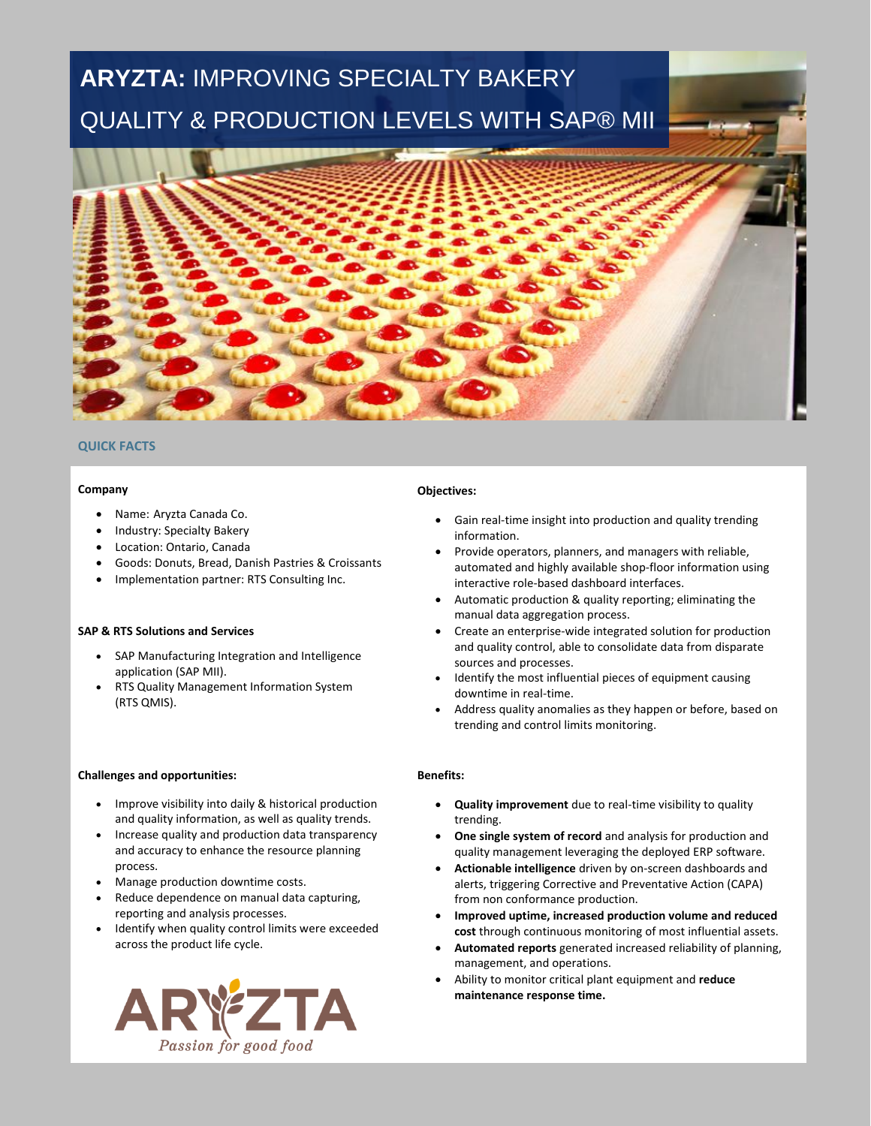# **ARYZTA:** IMPROVING SPECIALTY BAKERY QUALITY & PRODUCTION LEVELS WITH SAP® MII



## **QUICK FACTS**

#### **Company**

- Name: Aryzta Canada Co.
- Industry: Specialty Bakery
- Location: Ontario, Canada
- Goods: Donuts, Bread, Danish Pastries & Croissants
- Implementation partner: RTS Consulting Inc.

## **SAP & RTS Solutions and Services**

- SAP Manufacturing Integration and Intelligence application (SAP MII).
- RTS Quality Management Information System (RTS QMIS).

#### **Challenges and opportunities:**

- Improve visibility into daily & historical production and quality information, as well as quality trends.
- Increase quality and production data transparency and accuracy to enhance the resource planning process.
- Manage production downtime costs.
- Reduce dependence on manual data capturing, reporting and analysis processes.
- Identify when quality control limits were exceeded across the product life cycle.



## **Objectives:**

- Gain real-time insight into production and quality trending information.
- Provide operators, planners, and managers with reliable, automated and highly available shop-floor information using interactive role-based dashboard interfaces.
- Automatic production & quality reporting; eliminating the manual data aggregation process.
- Create an enterprise-wide integrated solution for production and quality control, able to consolidate data from disparate sources and processes.
- Identify the most influential pieces of equipment causing downtime in real-time.
- Address quality anomalies as they happen or before, based on trending and control limits monitoring.

## **Benefits:**

- **Quality improvement** due to real-time visibility to quality trending.
- **One single system of record** and analysis for production and quality management leveraging the deployed ERP software.
- **Actionable intelligence** driven by on-screen dashboards and alerts, triggering Corrective and Preventative Action (CAPA) from non conformance production.
- **Improved uptime, increased production volume and reduced cost** through continuous monitoring of most influential assets.
- **Automated reports** generated increased reliability of planning, management, and operations.
- Ability to monitor critical plant equipment and **reduce maintenance response time.**